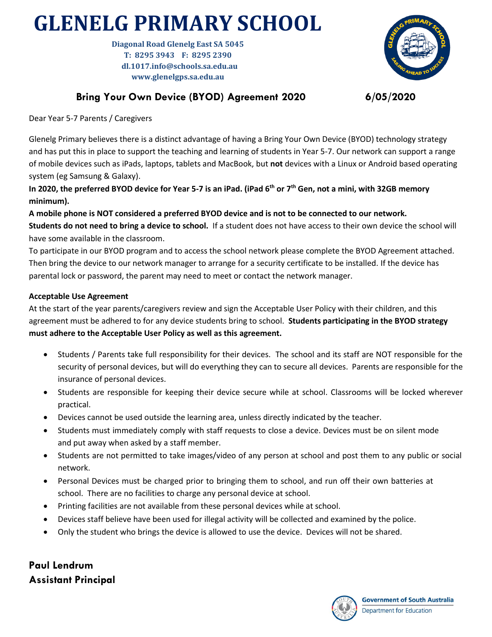## **GLENELG PRIMARY SCHOOL**

**Diagonal Road Glenelg East SA 5045 T: 8295 3943 F: 8295 2390 dl.1017.info@schools.sa.edu.au www.glenelgps.sa.edu.au**



## **Bring Your Own Device (BYOD) Agreement 2020 6/05/2020**

Dear Year 5-7 Parents / Caregivers

Glenelg Primary believes there is a distinct advantage of having a Bring Your Own Device (BYOD) technology strategy and has put this in place to support the teaching and learning of students in Year 5-7. Our network can support a range of mobile devices such as iPads, laptops, tablets and MacBook, but **not** devices with a Linux or Android based operating system (eg Samsung & Galaxy).

**In 2020, the preferred BYOD device for Year 5-7 is an iPad. (iPad 6th or 7th Gen, not a mini, with 32GB memory minimum).** 

**A mobile phone is NOT considered a preferred BYOD device and is not to be connected to our network. Students do not need to bring a device to school.** If a student does not have access to their own device the school will have some available in the classroom.

To participate in our BYOD program and to access the school network please complete the BYOD Agreement attached. Then bring the device to our network manager to arrange for a security certificate to be installed. If the device has parental lock or password, the parent may need to meet or contact the network manager.

## **Acceptable Use Agreement**

At the start of the year parents/caregivers review and sign the Acceptable User Policy with their children, and this agreement must be adhered to for any device students bring to school. **Students participating in the BYOD strategy must adhere to the Acceptable User Policy as well as this agreement.**

- Students / Parents take full responsibility for their devices. The school and its staff are NOT responsible for the security of personal devices, but will do everything they can to secure all devices. Parents are responsible for the insurance of personal devices.
- Students are responsible for keeping their device secure while at school. Classrooms will be locked wherever practical.
- Devices cannot be used outside the learning area, unless directly indicated by the teacher.
- Students must immediately comply with staff requests to close a device. Devices must be on silent mode and put away when asked by a staff member.
- Students are not permitted to take images/video of any person at school and post them to any public or social network.
- Personal Devices must be charged prior to bringing them to school, and run off their own batteries at school. There are no facilities to charge any personal device at school.
- Printing facilities are not available from these personal devices while at school.
- Devices staff believe have been used for illegal activity will be collected and examined by the police.
- Only the student who brings the device is allowed to use the device. Devices will not be shared.

**Paul Lendrum Assistant Principal**